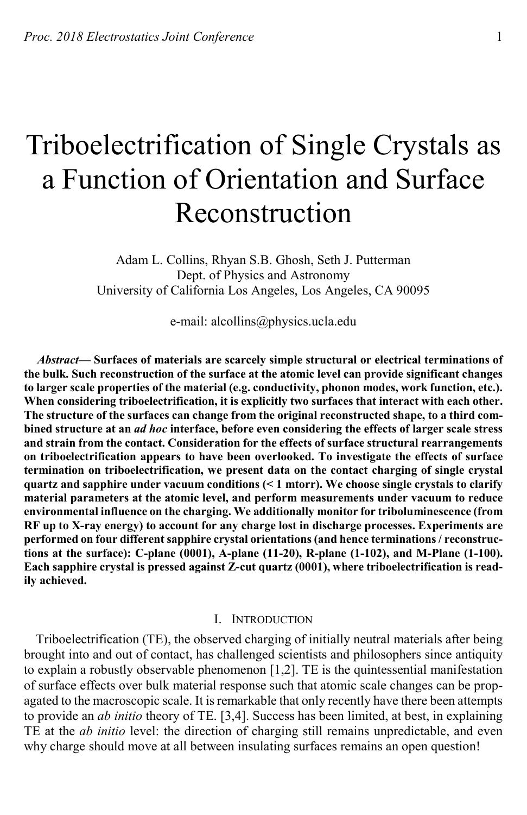# Triboelectrification of Single Crystals as a Function of Orientation and Surface Reconstruction

Adam L. Collins, Rhyan S.B. Ghosh, Seth J. Putterman Dept. of Physics and Astronomy University of California Los Angeles, Los Angeles, CA 90095

e-mail: alcollins@physics.ucla.edu

*Abstract***— Surfaces of materials are scarcely simple structural or electrical terminations of the bulk. Such reconstruction of the surface at the atomic level can provide significant changes to larger scale properties of the material (e.g. conductivity, phonon modes, work function, etc.). When considering triboelectrification, it is explicitly two surfaces that interact with each other. The structure of the surfaces can change from the original reconstructed shape, to a third combined structure at an** *ad hoc* **interface, before even considering the effects of larger scale stress and strain from the contact. Consideration for the effects of surface structural rearrangements on triboelectrification appears to have been overlooked. To investigate the effects of surface termination on triboelectrification, we present data on the contact charging of single crystal quartz and sapphire under vacuum conditions (< 1 mtorr). We choose single crystals to clarify material parameters at the atomic level, and perform measurements under vacuum to reduce environmental influence on the charging. We additionally monitor for triboluminescence (from RF up to X-ray energy) to account for any charge lost in discharge processes. Experiments are performed on four different sapphire crystal orientations (and hence terminations / reconstructions at the surface): C-plane (0001), A-plane (11-20), R-plane (1-102), and M-Plane (1-100). Each sapphire crystal is pressed against Z-cut quartz (0001), where triboelectrification is readily achieved.**

### I. INTRODUCTION

Triboelectrification (TE), the observed charging of initially neutral materials after being brought into and out of contact, has challenged scientists and philosophers since antiquity to explain a robustly observable phenomenon [1,2]. TE is the quintessential manifestation of surface effects over bulk material response such that atomic scale changes can be propagated to the macroscopic scale. It is remarkable that only recently have there been attempts to provide an *ab initio* theory of TE. [3,4]. Success has been limited, at best, in explaining TE at the *ab initio* level: the direction of charging still remains unpredictable, and even why charge should move at all between insulating surfaces remains an open question!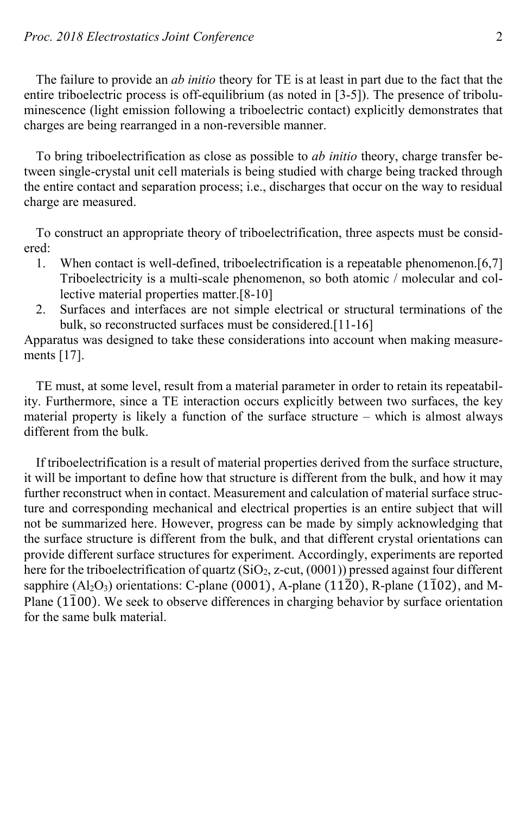The failure to provide an *ab initio* theory for TE is at least in part due to the fact that the entire triboelectric process is off-equilibrium (as noted in [3-5]). The presence of triboluminescence (light emission following a triboelectric contact) explicitly demonstrates that charges are being rearranged in a non-reversible manner.

To bring triboelectrification as close as possible to *ab initio* theory, charge transfer between single-crystal unit cell materials is being studied with charge being tracked through the entire contact and separation process; i.e., discharges that occur on the way to residual charge are measured.

To construct an appropriate theory of triboelectrification, three aspects must be considered:

- 1. When contact is well-defined, triboelectrification is a repeatable phenomenon.[6,7] Triboelectricity is a multi-scale phenomenon, so both atomic / molecular and collective material properties matter.[8-10]
- 2. Surfaces and interfaces are not simple electrical or structural terminations of the bulk, so reconstructed surfaces must be considered.[11-16]

Apparatus was designed to take these considerations into account when making measurements [17].

TE must, at some level, result from a material parameter in order to retain its repeatability. Furthermore, since a TE interaction occurs explicitly between two surfaces, the key material property is likely a function of the surface structure – which is almost always different from the bulk.

If triboelectrification is a result of material properties derived from the surface structure, it will be important to define how that structure is different from the bulk, and how it may further reconstruct when in contact. Measurement and calculation of material surface structure and corresponding mechanical and electrical properties is an entire subject that will not be summarized here. However, progress can be made by simply acknowledging that the surface structure is different from the bulk, and that different crystal orientations can provide different surface structures for experiment. Accordingly, experiments are reported here for the triboelectrification of quartz  $(SiO_2, z-cut, (0001))$  pressed against four different sapphire  $(A_1O_3)$  orientations: C-plane (0001), A-plane (1120), R-plane (1102), and M-Plane  $(1\bar{1}00)$ . We seek to observe differences in charging behavior by surface orientation for the same bulk material.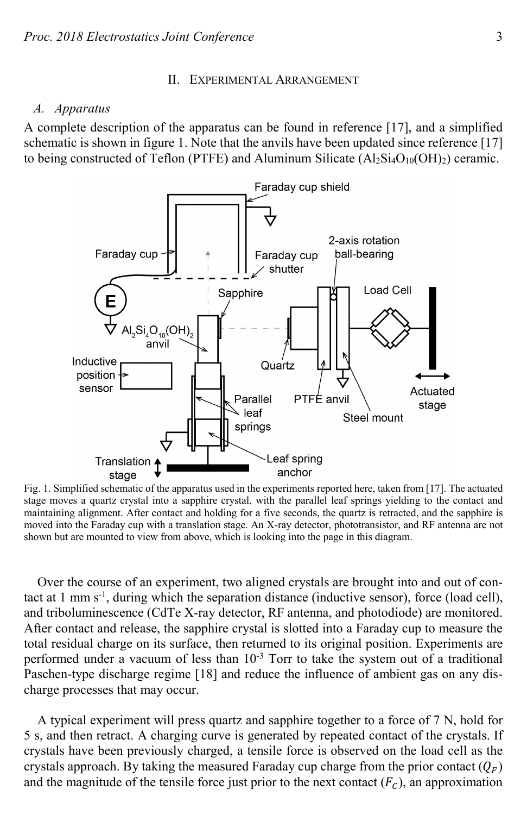#### II. EXPERIMENTAL ARRANGEMENT

#### *A. Apparatus*

A complete description of the apparatus can be found in reference [17], and a simplified schematic is shown in figure 1. Note that the anvils have been updated since reference [17] to being constructed of Teflon (PTFE) and Aluminum Silicate  $(Al_2Si_4O_{10}(OH)_2)$  ceramic.



Fig. 1. Simplified schematic of the apparatus used in the experiments reported here, taken from [17]. The actuated stage moves a quartz crystal into a sapphire crystal, with the parallel leaf springs yielding to the contact and maintaining alignment. After contact and holding for a five seconds, the quartz is retracted, and the sapphire is moved into the Faraday cup with a translation stage. An X-ray detector, phototransistor, and RF antenna are not shown but are mounted to view from above, which is looking into the page in this diagram.

Over the course of an experiment, two aligned crystals are brought into and out of contact at 1 mm s<sup>-1</sup>, during which the separation distance (inductive sensor), force (load cell), and triboluminescence (CdTe X-ray detector, RF antenna, and photodiode) are monitored. After contact and release, the sapphire crystal is slotted into a Faraday cup to measure the total residual charge on its surface, then returned to its original position. Experiments are performed under a vacuum of less than  $10^{-3}$  Torr to take the system out of a traditional Paschen-type discharge regime [18] and reduce the influence of ambient gas on any discharge processes that may occur.

A typical experiment will press quartz and sapphire together to a force of 7 N, hold for 5 s, and then retract. A charging curve is generated by repeated contact of the crystals. If crystals have been previously charged, a tensile force is observed on the load cell as the crystals approach. By taking the measured Faraday cup charge from the prior contact  $(Q_F)$ and the magnitude of the tensile force just prior to the next contact  $(F_C)$ , an approximation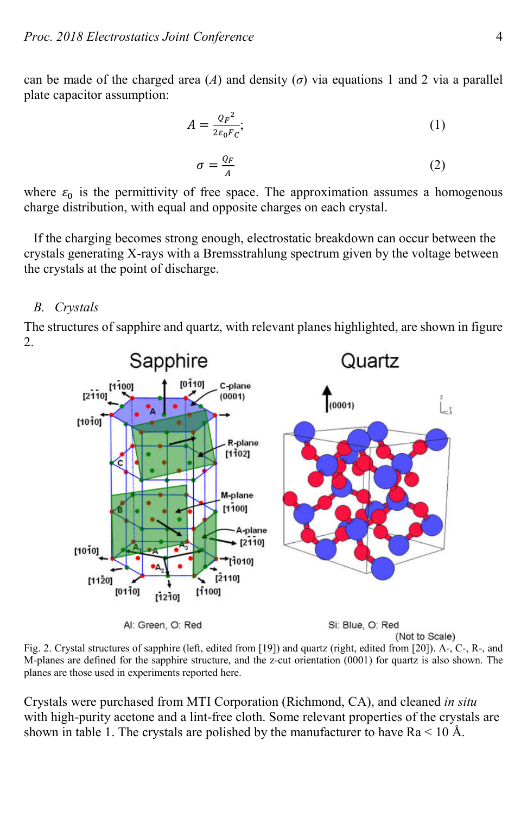can be made of the charged area  $(A)$  and density  $(\sigma)$  via equations 1 and 2 via a parallel plate capacitor assumption:

$$
A = \frac{Q_F^2}{2\varepsilon_0 F_c};\tag{1}
$$

$$
\sigma = \frac{Q_F}{A} \tag{2}
$$

where  $\varepsilon_0$  is the permittivity of free space. The approximation assumes a homogenous charge distribution, with equal and opposite charges on each crystal.

If the charging becomes strong enough, electrostatic breakdown can occur between the crystals generating X-rays with a Bremsstrahlung spectrum given by the voltage between the crystals at the point of discharge.

# *B. Crystals*

The structures of sapphire and quartz, with relevant planes highlighted, are shown in figure 2.



Fig. 2. Crystal structures of sapphire (left, edited from [19]) and quartz (right, edited from [20]). A-, C-, R-, and M-planes are defined for the sapphire structure, and the z-cut orientation (0001) for quartz is also shown. The planes are those used in experiments reported here.

(Not to Scale)

Crystals were purchased from MTI Corporation (Richmond, CA), and cleaned *in situ* with high-purity acetone and a lint-free cloth. Some relevant properties of the crystals are shown in table 1. The crystals are polished by the manufacturer to have  $Ra < 10 \text{ Å}$ .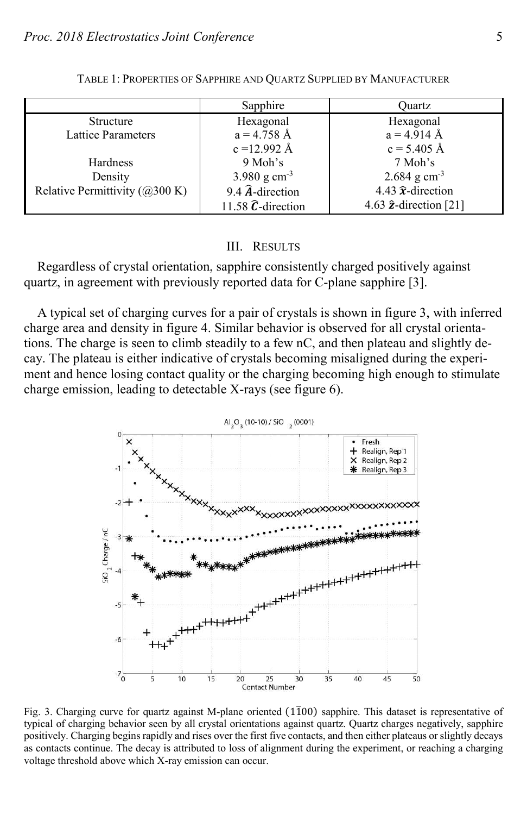|                                         | Sapphire                   | Ouartz                             |
|-----------------------------------------|----------------------------|------------------------------------|
| <b>Structure</b>                        | Hexagonal                  | Hexagonal                          |
| <b>Lattice Parameters</b>               | $a = 4.758 \text{ Å}$      | $a = 4.914 \text{ Å}$              |
|                                         | $c = 12.992 \text{ Å}$     | $c = 5.405 \text{ Å}$              |
| Hardness                                | 9 Moh's                    | 7 Moh's                            |
| Density                                 | 3.980 g cm <sup>-3</sup>   | $2.684$ g cm <sup>-3</sup>         |
| Relative Permittivity ( $\omega$ 300 K) | 9.4 $\hat{A}$ -direction   | 4.43 $\hat{\mathbf{x}}$ -direction |
|                                         | 11.58 $\hat{C}$ -direction | 4.63 $\hat{z}$ -direction [21]     |

TABLE 1: PROPERTIES OF SAPPHIRE AND QUARTZ SUPPLIED BY MANUFACTURER

#### III. RESULTS

Regardless of crystal orientation, sapphire consistently charged positively against quartz, in agreement with previously reported data for C-plane sapphire [3].

A typical set of charging curves for a pair of crystals is shown in figure 3, with inferred charge area and density in figure 4. Similar behavior is observed for all crystal orientations. The charge is seen to climb steadily to a few nC, and then plateau and slightly decay. The plateau is either indicative of crystals becoming misaligned during the experiment and hence losing contact quality or the charging becoming high enough to stimulate charge emission, leading to detectable X-rays (see figure 6).

> Al<sub>2</sub>O<sub>3</sub> (10-10) / SiO<sub>2</sub> (0001) Fresh Realign, Rep 1 Realign, Rep 2  $\overline{1}$ Realign, Rep 3  $-2$ 5iO<sub>2</sub> Charge / nC  $-3$  $-5$  $-6$  $-7^{L}_{0}$ 5  $10$ 15  $20$ 35  $40$ 45 50 25 30 Contact Number

Fig. 3. Charging curve for quartz against M-plane oriented (1100) sapphire. This dataset is representative of typical of charging behavior seen by all crystal orientations against quartz. Quartz charges negatively, sapphire positively. Charging begins rapidly and rises over the first five contacts, and then either plateaus or slightly decays as contacts continue. The decay is attributed to loss of alignment during the experiment, or reaching a charging voltage threshold above which X-ray emission can occur.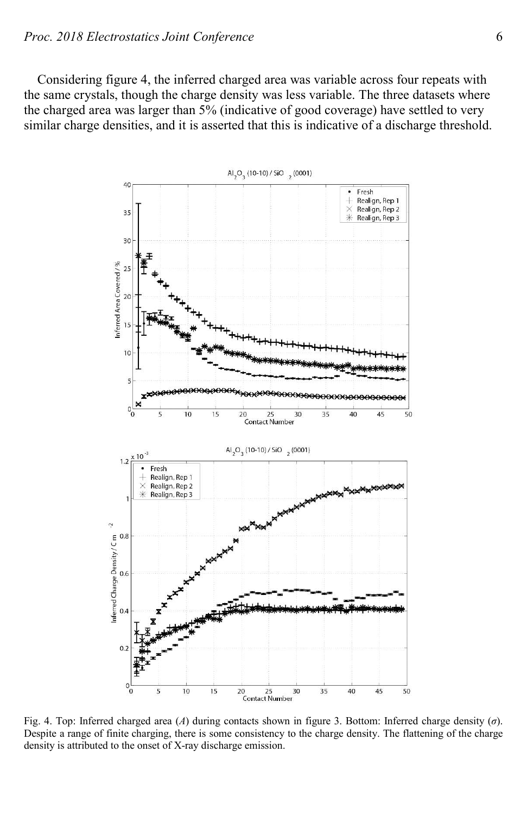Considering figure 4, the inferred charged area was variable across four repeats with the same crystals, though the charge density was less variable. The three datasets where the charged area was larger than 5% (indicative of good coverage) have settled to very similar charge densities, and it is asserted that this is indicative of a discharge threshold.



Fig. 4. Top: Inferred charged area (*A*) during contacts shown in figure 3. Bottom: Inferred charge density (*σ*). Despite a range of finite charging, there is some consistency to the charge density. The flattening of the charge density is attributed to the onset of X-ray discharge emission.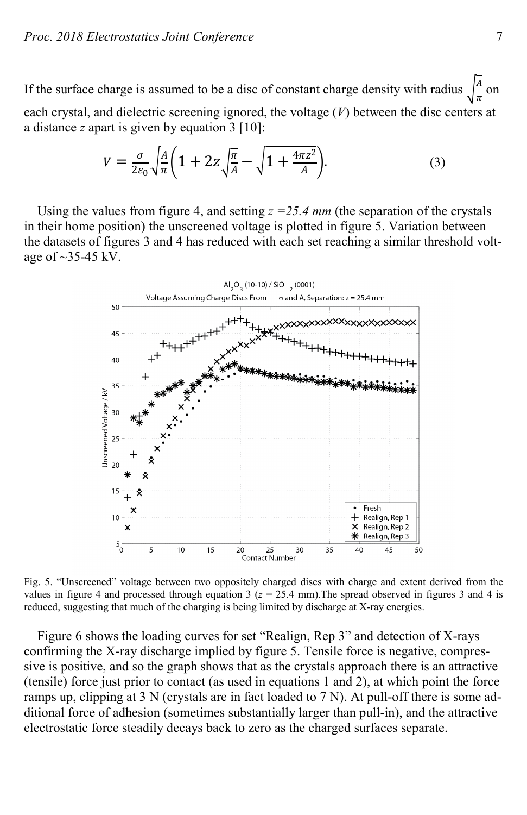If the surface charge is assumed to be a disc of constant charge density with radius  $\frac{A}{\pi}$  on each crystal, and dielectric screening ignored, the voltage (*V*) between the disc centers at a distance *z* apart is given by equation 3 [10]:

$$
V = \frac{\sigma}{2\varepsilon_0} \sqrt{\frac{A}{\pi}} \left( 1 + 2z \sqrt{\frac{\pi}{A}} - \sqrt{1 + \frac{4\pi z^2}{A}} \right).
$$
 (3)

Using the values from figure 4, and setting *z =25.4 mm* (the separation of the crystals in their home position) the unscreened voltage is plotted in figure 5. Variation between the datasets of figures 3 and 4 has reduced with each set reaching a similar threshold voltage of  $\sim$ 35-45 kV.



Fig. 5. "Unscreened" voltage between two oppositely charged discs with charge and extent derived from the values in figure 4 and processed through equation  $3$  ( $z = 25.4$  mm). The spread observed in figures 3 and 4 is reduced, suggesting that much of the charging is being limited by discharge at X-ray energies.

Figure 6 shows the loading curves for set "Realign, Rep 3" and detection of X-rays confirming the X-ray discharge implied by figure 5. Tensile force is negative, compressive is positive, and so the graph shows that as the crystals approach there is an attractive (tensile) force just prior to contact (as used in equations 1 and 2), at which point the force ramps up, clipping at 3 N (crystals are in fact loaded to 7 N). At pull-off there is some additional force of adhesion (sometimes substantially larger than pull-in), and the attractive electrostatic force steadily decays back to zero as the charged surfaces separate.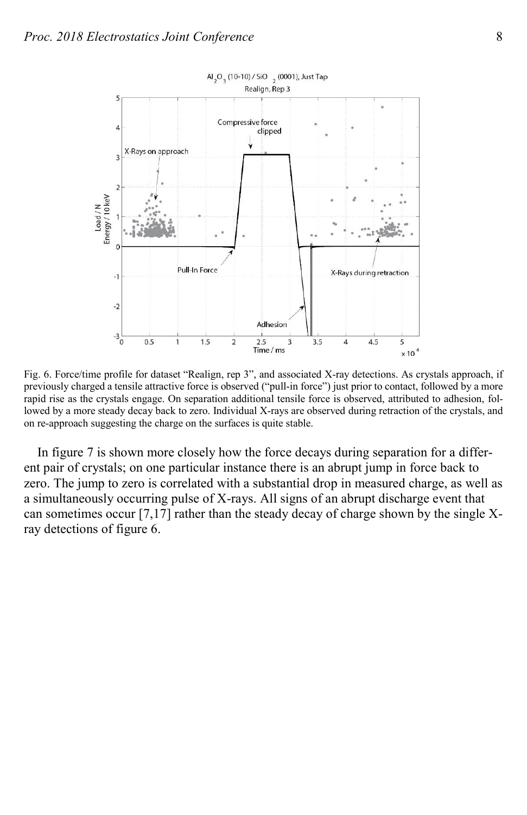

Fig. 6. Force/time profile for dataset "Realign, rep 3", and associated X-ray detections. As crystals approach, if previously charged a tensile attractive force is observed ("pull-in force") just prior to contact, followed by a more rapid rise as the crystals engage. On separation additional tensile force is observed, attributed to adhesion, followed by a more steady decay back to zero. Individual X-rays are observed during retraction of the crystals, and on re-approach suggesting the charge on the surfaces is quite stable.

In figure 7 is shown more closely how the force decays during separation for a different pair of crystals; on one particular instance there is an abrupt jump in force back to zero. The jump to zero is correlated with a substantial drop in measured charge, as well as a simultaneously occurring pulse of X-rays. All signs of an abrupt discharge event that can sometimes occur [7,17] rather than the steady decay of charge shown by the single Xray detections of figure 6.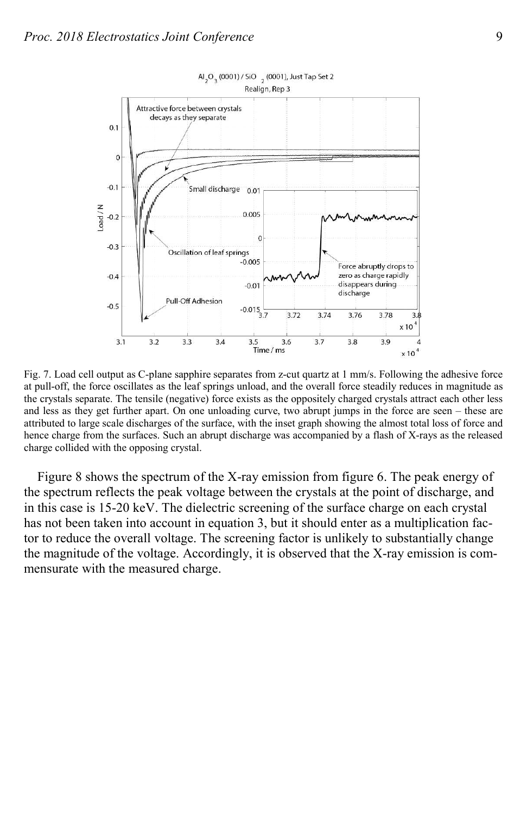

Fig. 7. Load cell output as C-plane sapphire separates from z-cut quartz at 1 mm/s. Following the adhesive force at pull-off, the force oscillates as the leaf springs unload, and the overall force steadily reduces in magnitude as the crystals separate. The tensile (negative) force exists as the oppositely charged crystals attract each other less and less as they get further apart. On one unloading curve, two abrupt jumps in the force are seen – these are attributed to large scale discharges of the surface, with the inset graph showing the almost total loss of force and hence charge from the surfaces. Such an abrupt discharge was accompanied by a flash of X-rays as the released charge collided with the opposing crystal.

Figure 8 shows the spectrum of the X-ray emission from figure 6. The peak energy of the spectrum reflects the peak voltage between the crystals at the point of discharge, and in this case is 15-20 keV. The dielectric screening of the surface charge on each crystal has not been taken into account in equation 3, but it should enter as a multiplication factor to reduce the overall voltage. The screening factor is unlikely to substantially change the magnitude of the voltage. Accordingly, it is observed that the X-ray emission is commensurate with the measured charge.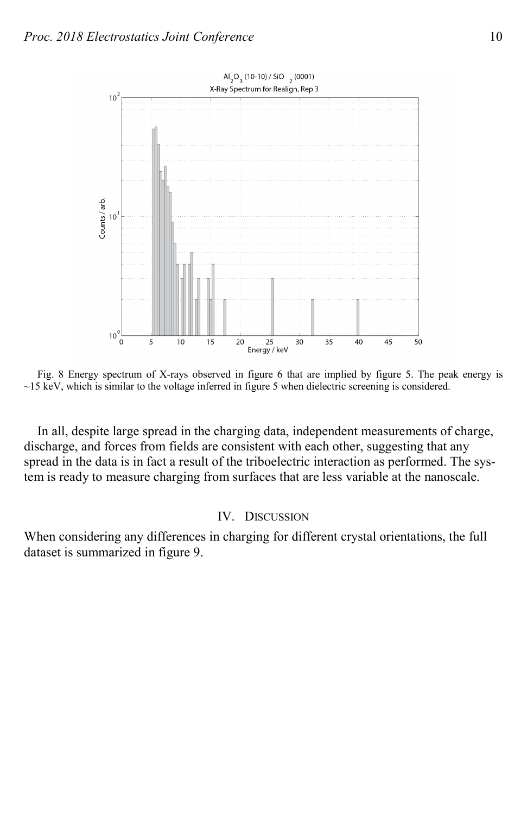

Fig. 8 Energy spectrum of X-rays observed in figure 6 that are implied by figure 5. The peak energy is  $\sim$ 15 keV, which is similar to the voltage inferred in figure 5 when dielectric screening is considered.

In all, despite large spread in the charging data, independent measurements of charge, discharge, and forces from fields are consistent with each other, suggesting that any spread in the data is in fact a result of the triboelectric interaction as performed. The system is ready to measure charging from surfaces that are less variable at the nanoscale.

## IV. DISCUSSION

When considering any differences in charging for different crystal orientations, the full dataset is summarized in figure 9.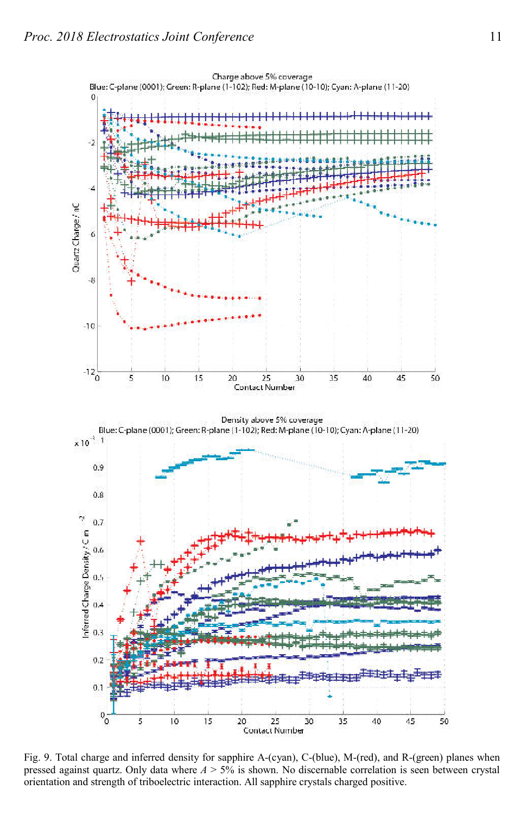

Fig. 9. Total charge and inferred density for sapphire A-(cyan), C-(blue), M-(red), and R-(green) planes when pressed against quartz. Only data where *A* > 5% is shown. No discernable correlation is seen between crystal orientation and strength of triboelectric interaction. All sapphire crystals charged positive.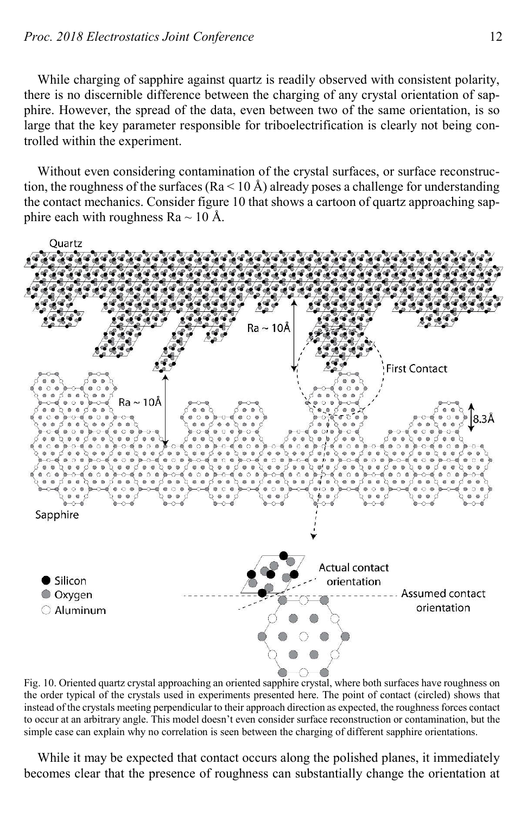While charging of sapphire against quartz is readily observed with consistent polarity, there is no discernible difference between the charging of any crystal orientation of sapphire. However, the spread of the data, even between two of the same orientation, is so large that the key parameter responsible for triboelectrification is clearly not being controlled within the experiment.

Without even considering contamination of the crystal surfaces, or surface reconstruction, the roughness of the surfaces ( $Ra < 10 \text{ Å}$ ) already poses a challenge for understanding the contact mechanics. Consider figure 10 that shows a cartoon of quartz approaching sapphire each with roughness Ra  $\sim$  10 Å.



Fig. 10. Oriented quartz crystal approaching an oriented sapphire crystal, where both surfaces have roughness on the order typical of the crystals used in experiments presented here. The point of contact (circled) shows that instead of the crystals meeting perpendicular to their approach direction as expected, the roughness forces contact to occur at an arbitrary angle. This model doesn't even consider surface reconstruction or contamination, but the simple case can explain why no correlation is seen between the charging of different sapphire orientations.

While it may be expected that contact occurs along the polished planes, it immediately becomes clear that the presence of roughness can substantially change the orientation at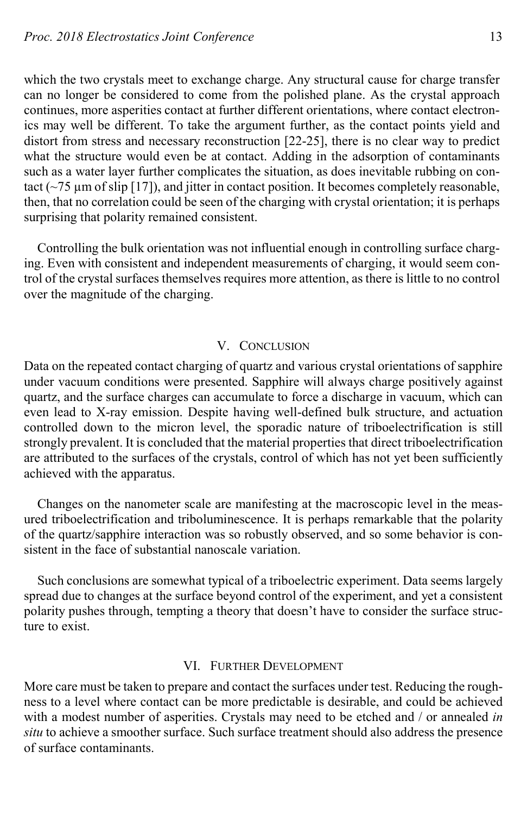which the two crystals meet to exchange charge. Any structural cause for charge transfer can no longer be considered to come from the polished plane. As the crystal approach continues, more asperities contact at further different orientations, where contact electronics may well be different. To take the argument further, as the contact points yield and distort from stress and necessary reconstruction [22-25], there is no clear way to predict what the structure would even be at contact. Adding in the adsorption of contaminants such as a water layer further complicates the situation, as does inevitable rubbing on contact ( $\sim$ 75 µm of slip [17]), and jitter in contact position. It becomes completely reasonable, then, that no correlation could be seen of the charging with crystal orientation; it is perhaps surprising that polarity remained consistent.

Controlling the bulk orientation was not influential enough in controlling surface charging. Even with consistent and independent measurements of charging, it would seem control of the crystal surfaces themselves requires more attention, as there is little to no control over the magnitude of the charging.

## V. CONCLUSION

Data on the repeated contact charging of quartz and various crystal orientations of sapphire under vacuum conditions were presented. Sapphire will always charge positively against quartz, and the surface charges can accumulate to force a discharge in vacuum, which can even lead to X-ray emission. Despite having well-defined bulk structure, and actuation controlled down to the micron level, the sporadic nature of triboelectrification is still strongly prevalent. It is concluded that the material properties that direct triboelectrification are attributed to the surfaces of the crystals, control of which has not yet been sufficiently achieved with the apparatus.

Changes on the nanometer scale are manifesting at the macroscopic level in the measured triboelectrification and triboluminescence. It is perhaps remarkable that the polarity of the quartz/sapphire interaction was so robustly observed, and so some behavior is consistent in the face of substantial nanoscale variation.

Such conclusions are somewhat typical of a triboelectric experiment. Data seems largely spread due to changes at the surface beyond control of the experiment, and yet a consistent polarity pushes through, tempting a theory that doesn't have to consider the surface structure to exist.

## VI. FURTHER DEVELOPMENT

More care must be taken to prepare and contact the surfaces under test. Reducing the roughness to a level where contact can be more predictable is desirable, and could be achieved with a modest number of asperities. Crystals may need to be etched and / or annealed *in situ* to achieve a smoother surface. Such surface treatment should also address the presence of surface contaminants.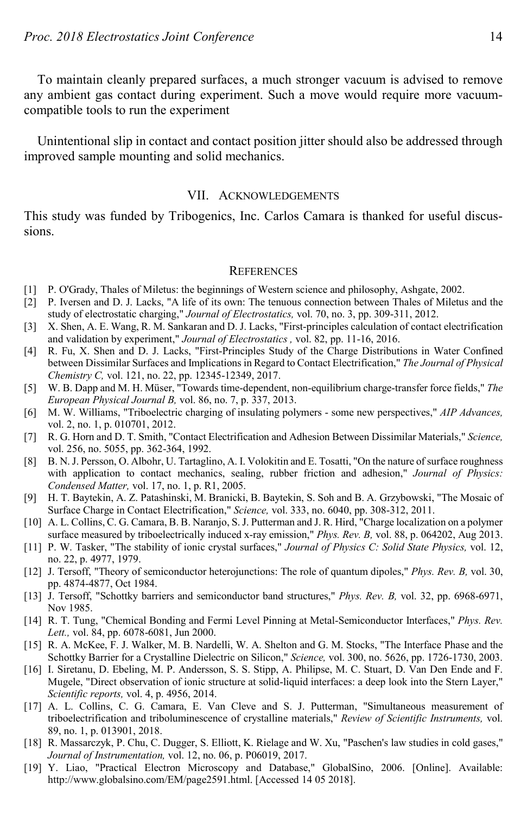To maintain cleanly prepared surfaces, a much stronger vacuum is advised to remove any ambient gas contact during experiment. Such a move would require more vacuumcompatible tools to run the experiment

Unintentional slip in contact and contact position jitter should also be addressed through improved sample mounting and solid mechanics.

#### VII. ACKNOWLEDGEMENTS

This study was funded by Tribogenics, Inc. Carlos Camara is thanked for useful discussions.

#### **REFERENCES**

- [1] P. O'Grady, Thales of Miletus: the beginnings of Western science and philosophy, Ashgate, 2002.
- [2] P. Iversen and D. J. Lacks, "A life of its own: The tenuous connection between Thales of Miletus and the study of electrostatic charging," *Journal of Electrostatics,* vol. 70, no. 3, pp. 309-311, 2012.
- [3] X. Shen, A. E. Wang, R. M. Sankaran and D. J. Lacks, "First-principles calculation of contact electrification and validation by experiment," *Journal of Electrostatics ,* vol. 82, pp. 11-16, 2016.
- [4] R. Fu, X. Shen and D. J. Lacks, "First-Principles Study of the Charge Distributions in Water Confined between Dissimilar Surfaces and Implications in Regard to Contact Electrification," *The Journal of Physical Chemistry C,* vol. 121, no. 22, pp. 12345-12349, 2017.
- [5] W. B. Dapp and M. H. Müser, "Towards time-dependent, non-equilibrium charge-transfer force fields," *The European Physical Journal B,* vol. 86, no. 7, p. 337, 2013.
- [6] M. W. Williams, "Triboelectric charging of insulating polymers some new perspectives," *AIP Advances,*  vol. 2, no. 1, p. 010701, 2012.
- [7] R. G. Horn and D. T. Smith, "Contact Electrification and Adhesion Between Dissimilar Materials," *Science,*  vol. 256, no. 5055, pp. 362-364, 1992.
- [8] B. N. J. Persson, O. Albohr, U. Tartaglino, A. I. Volokitin and E. Tosatti, "On the nature of surface roughness with application to contact mechanics, sealing, rubber friction and adhesion," *Journal of Physics: Condensed Matter,* vol. 17, no. 1, p. R1, 2005.
- [9] H. T. Baytekin, A. Z. Patashinski, M. Branicki, B. Baytekin, S. Soh and B. A. Grzybowski, "The Mosaic of Surface Charge in Contact Electrification," *Science,* vol. 333, no. 6040, pp. 308-312, 2011.
- [10] A. L. Collins, C. G. Camara, B. B. Naranjo, S. J. Putterman and J. R. Hird, "Charge localization on a polymer surface measured by triboelectrically induced x-ray emission," *Phys. Rev. B,* vol. 88, p. 064202, Aug 2013.
- [11] P. W. Tasker, "The stability of ionic crystal surfaces," *Journal of Physics C: Solid State Physics,* vol. 12, no. 22, p. 4977, 1979.
- [12] J. Tersoff, "Theory of semiconductor heterojunctions: The role of quantum dipoles," *Phys. Rev. B,* vol. 30, pp. 4874-4877, Oct 1984.
- [13] J. Tersoff, "Schottky barriers and semiconductor band structures," *Phys. Rev. B,* vol. 32, pp. 6968-6971, Nov 1985.
- [14] R. T. Tung, "Chemical Bonding and Fermi Level Pinning at Metal-Semiconductor Interfaces," *Phys. Rev. Lett.,* vol. 84, pp. 6078-6081, Jun 2000.
- [15] R. A. McKee, F. J. Walker, M. B. Nardelli, W. A. Shelton and G. M. Stocks, "The Interface Phase and the Schottky Barrier for a Crystalline Dielectric on Silicon," *Science,* vol. 300, no. 5626, pp. 1726-1730, 2003.
- [16] I. Siretanu, D. Ebeling, M. P. Andersson, S. S. Stipp, A. Philipse, M. C. Stuart, D. Van Den Ende and F. Mugele, "Direct observation of ionic structure at solid-liquid interfaces: a deep look into the Stern Layer," *Scientific reports,* vol. 4, p. 4956, 2014.
- [17] A. L. Collins, C. G. Camara, E. Van Cleve and S. J. Putterman, "Simultaneous measurement of triboelectrification and triboluminescence of crystalline materials," *Review of Scientific Instruments,* vol. 89, no. 1, p. 013901, 2018.
- [18] R. Massarczyk, P. Chu, C. Dugger, S. Elliott, K. Rielage and W. Xu, "Paschen's law studies in cold gases," *Journal of Instrumentation,* vol. 12, no. 06, p. P06019, 2017.
- [19] Y. Liao, "Practical Electron Microscopy and Database," GlobalSino, 2006. [Online]. Available: http://www.globalsino.com/EM/page2591.html. [Accessed 14 05 2018].